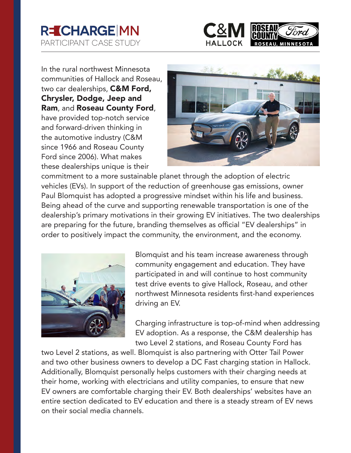



In the rural northwest Minnesota communities of Hallock and Roseau, two car dealerships, **C&M Ford,** Chrysler, Dodge, Jeep and Ram, and Roseau County Ford, have provided top-notch service and forward-driven thinking in the automotive industry (C&M since 1966 and Roseau County Ford since 2006). What makes these dealerships unique is their



commitment to a more sustainable planet through the adoption of electric vehicles (EVs). In support of the reduction of greenhouse gas emissions, owner Paul Blomquist has adopted a progressive mindset within his life and business. Being ahead of the curve and supporting renewable transportation is one of the dealership's primary motivations in their growing EV initiatives. The two dealerships are preparing for the future, branding themselves as official "EV dealerships" in order to positively impact the community, the environment, and the economy.



Blomquist and his team increase awareness through community engagement and education. They have participated in and will continue to host community test drive events to give Hallock, Roseau, and other northwest Minnesota residents first-hand experiences driving an EV.

Charging infrastructure is top-of-mind when addressing EV adoption. As a response, the C&M dealership has two Level 2 stations, and Roseau County Ford has

two Level 2 stations, as well. Blomquist is also partnering with Otter Tail Power and two other business owners to develop a DC Fast charging station in Hallock. Additionally, Blomquist personally helps customers with their charging needs at their home, working with electricians and utility companies, to ensure that new EV owners are comfortable charging their EV. Both dealerships' websites have an entire section dedicated to EV education and there is a steady stream of EV news on their social media channels.